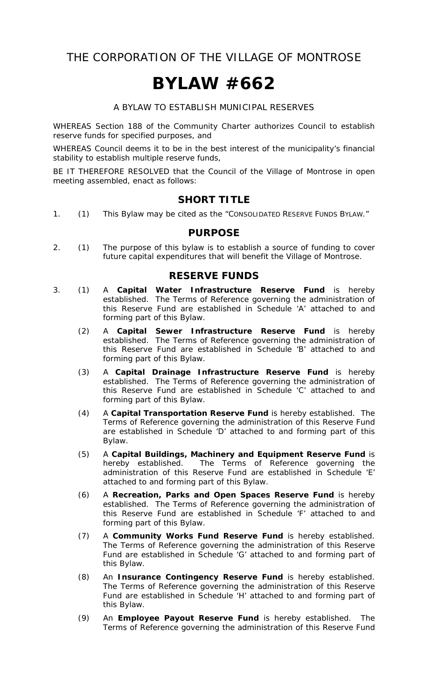THE CORPORATION OF THE VILLAGE OF MONTROSE

# **BYLAW #662**

A BYLAW TO ESTABLISH MUNICIPAL RESERVES

WHEREAS Section 188 of the *Community Charter* authorizes Council to establish reserve funds for specified purposes, and

WHEREAS Council deems it to be in the best interest of the municipality's financial stability to establish multiple reserve funds,

BE IT THEREFORE RESOLVED that the Council of the Village of Montrose in open meeting assembled, enact as follows:

#### **SHORT TITLE**

1. (1) This Bylaw may be cited as the "CONSOLIDATED RESERVE FUNDS BYLAW."

#### **PURPOSE**

2. (1) The purpose of this bylaw is to establish a source of funding to cover future capital expenditures that will benefit the Village of Montrose.

#### **RESERVE FUNDS**

- 3. (1) A **Capital Water Infrastructure Reserve Fund** is hereby established. The Terms of Reference governing the administration of this Reserve Fund are established in Schedule 'A' attached to and forming part of this Bylaw.
- (2) A **Capital Sewer Infrastructure Reserve Fund** is hereby established. The Terms of Reference governing the administration of this Reserve Fund are established in Schedule 'B' attached to and forming part of this Bylaw.
	- (3) A **Capital Drainage Infrastructure Reserve Fund** is hereby established. The Terms of Reference governing the administration of this Reserve Fund are established in Schedule 'C' attached to and forming part of this Bylaw.
	- (4) A **Capital Transportation Reserve Fund** is hereby established. The Terms of Reference governing the administration of this Reserve Fund are established in Schedule 'D' attached to and forming part of this Bylaw.
	- (5) A **Capital Buildings, Machinery and Equipment Reserve Fund** is hereby established. The Terms of Reference governing the administration of this Reserve Fund are established in Schedule 'E' attached to and forming part of this Bylaw.
	- (6) A **Recreation, Parks and Open Spaces Reserve Fund** is hereby established. The Terms of Reference governing the administration of this Reserve Fund are established in Schedule 'F' attached to and forming part of this Bylaw.
	- (7) A **Community Works Fund Reserve Fund** is hereby established. The Terms of Reference governing the administration of this Reserve Fund are established in Schedule 'G' attached to and forming part of this Bylaw.
	- (8) An **Insurance Contingency Reserve Fund** is hereby established. The Terms of Reference governing the administration of this Reserve Fund are established in Schedule 'H' attached to and forming part of this Bylaw.
	- (9) An **Employee Payout Reserve Fund** is hereby established. The Terms of Reference governing the administration of this Reserve Fund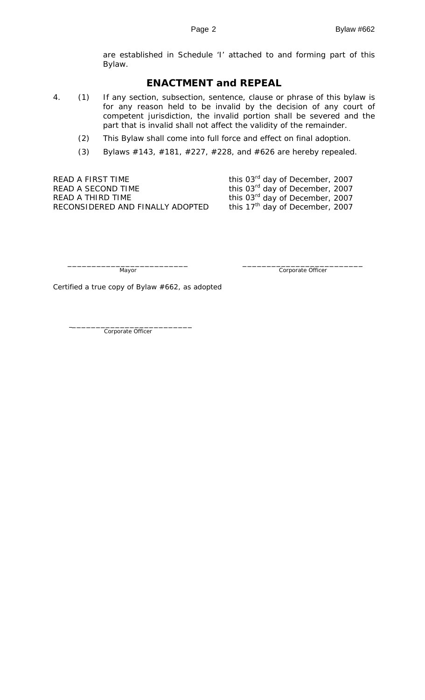are established in Schedule 'I' attached to and forming part of this Bylaw.

#### **ENACTMENT and REPEAL**

- 4. (1) If any section, subsection, sentence, clause or phrase of this bylaw is for any reason held to be invalid by the decision of any court of competent jurisdiction, the invalid portion shall be severed and the part that is invalid shall not affect the validity of the remainder.
	- (2) This Bylaw shall come into full force and effect on final adoption.
	- (3) Bylaws #143, #181, #227, #228, and #626 are hereby repealed.

READ A FIRST TIME  $t$  this 03 $^{rd}$  day of December, 2007 READ A SECOND TIME  $REDA$  second this 03<sup>rd</sup> day of December, 2007 READ A THIRD TIME<br>RECONSIDERED AND FINALLY ADOPTED this 17<sup>th</sup> day of December, 2007 RECONSIDERED AND FINALLY ADOPTED

\_\_\_\_\_\_\_\_\_\_\_\_\_\_\_\_\_\_\_\_\_\_\_\_\_ \_\_\_\_\_\_\_\_\_\_\_\_\_\_\_\_\_\_\_\_\_\_\_\_\_ Mayor Corporate Officer

Certified a true copy of Bylaw #662, as adopted

Corporate Officer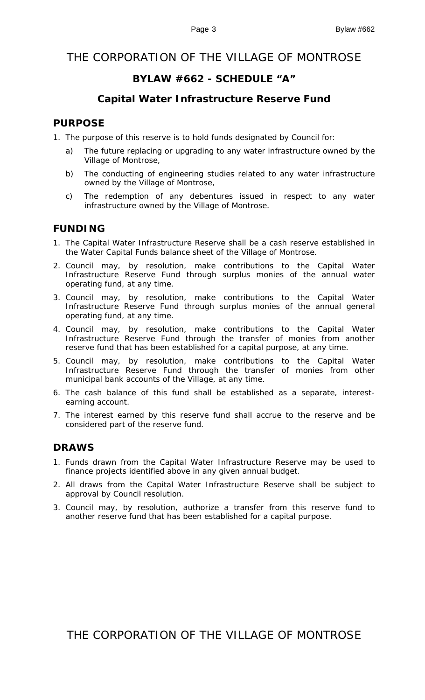# THE CORPORATION OF THE VILLAGE OF MONTROSE

# **BYLAW #662 - SCHEDULE "A"**

# **Capital Water Infrastructure Reserve Fund**

# **PURPOSE**

- 1. The purpose of this reserve is to hold funds designated by Council for:
	- a) The future replacing or upgrading to any water infrastructure owned by the Village of Montrose,
	- b) The conducting of engineering studies related to any water infrastructure owned by the Village of Montrose,
	- c) The redemption of any debentures issued in respect to any water infrastructure owned by the Village of Montrose.

# **FUNDING**

- 1. The Capital Water Infrastructure Reserve shall be a cash reserve established in the Water Capital Funds balance sheet of the Village of Montrose.
- 2. Council may, by resolution, make contributions to the Capital Water Infrastructure Reserve Fund through surplus monies of the annual water operating fund, at any time.
- 3. Council may, by resolution, make contributions to the Capital Water Infrastructure Reserve Fund through surplus monies of the annual general operating fund, at any time.
- 4. Council may, by resolution, make contributions to the Capital Water Infrastructure Reserve Fund through the transfer of monies from another reserve fund that has been established for a capital purpose, at any time.
- 5. Council may, by resolution, make contributions to the Capital Water Infrastructure Reserve Fund through the transfer of monies from other municipal bank accounts of the Village, at any time.
- 6. The cash balance of this fund shall be established as a separate, interestearning account.
- 7. The interest earned by this reserve fund shall accrue to the reserve and be considered part of the reserve fund.

# **DRAWS**

- 1. Funds drawn from the Capital Water Infrastructure Reserve may be used to finance projects identified above in any given annual budget.
- 2. All draws from the Capital Water Infrastructure Reserve shall be subject to approval by Council resolution.
- 3. Council may, by resolution, authorize a transfer from this reserve fund to another reserve fund that has been established for a capital purpose.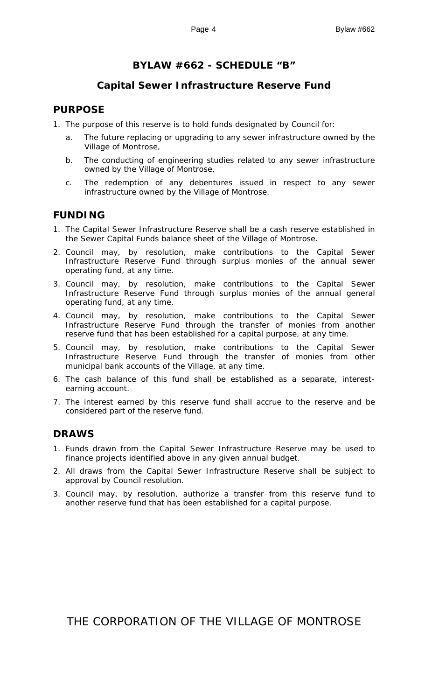# **BYLAW #662 - SCHEDULE "B"**

# **Capital Sewer Infrastructure Reserve Fund**

## **PURPOSE**

- 1. The purpose of this reserve is to hold funds designated by Council for:
	- The future replacing or upgrading to any sewer infrastructure owned by the Village of Montrose,
	- b. The conducting of engineering studies related to any sewer infrastructure owned by the Village of Montrose,
	- c. The redemption of any debentures issued in respect to any sewer infrastructure owned by the Village of Montrose.

# **FUNDING**

- 1. The Capital Sewer Infrastructure Reserve shall be a cash reserve established in the Sewer Capital Funds balance sheet of the Village of Montrose.
- 2. Council may, by resolution, make contributions to the Capital Sewer Infrastructure Reserve Fund through surplus monies of the annual sewer operating fund, at any time.
- 3. Council may, by resolution, make contributions to the Capital Sewer Infrastructure Reserve Fund through surplus monies of the annual general operating fund, at any time.
- 4. Council may, by resolution, make contributions to the Capital Sewer Infrastructure Reserve Fund through the transfer of monies from another reserve fund that has been established for a capital purpose, at any time.
- 5. Council may, by resolution, make contributions to the Capital Sewer Infrastructure Reserve Fund through the transfer of monies from other municipal bank accounts of the Village, at any time.
- 6. The cash balance of this fund shall be established as a separate, interestearning account.
- 7. The interest earned by this reserve fund shall accrue to the reserve and be considered part of the reserve fund.

# **DRAWS**

- 1. Funds drawn from the Capital Sewer Infrastructure Reserve may be used to finance projects identified above in any given annual budget.
- 2. All draws from the Capital Sewer Infrastructure Reserve shall be subject to approval by Council resolution.
- 3. Council may, by resolution, authorize a transfer from this reserve fund to another reserve fund that has been established for a capital purpose.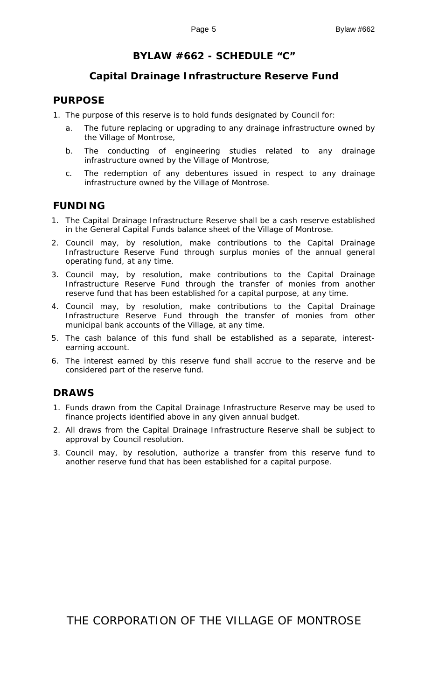# **BYLAW #662 - SCHEDULE "C"**

## **Capital Drainage Infrastructure Reserve Fund**

#### **PURPOSE**

- 1. The purpose of this reserve is to hold funds designated by Council for:
	- a. The future replacing or upgrading to any drainage infrastructure owned by the Village of Montrose,
	- b. The conducting of engineering studies related to any drainage infrastructure owned by the Village of Montrose,
	- c. The redemption of any debentures issued in respect to any drainage infrastructure owned by the Village of Montrose.

# **FUNDING**

- 1. The Capital Drainage Infrastructure Reserve shall be a cash reserve established in the General Capital Funds balance sheet of the Village of Montrose.
- 2. Council may, by resolution, make contributions to the Capital Drainage Infrastructure Reserve Fund through surplus monies of the annual general operating fund, at any time.
- 3. Council may, by resolution, make contributions to the Capital Drainage Infrastructure Reserve Fund through the transfer of monies from another reserve fund that has been established for a capital purpose, at any time.
- 4. Council may, by resolution, make contributions to the Capital Drainage Infrastructure Reserve Fund through the transfer of monies from other municipal bank accounts of the Village, at any time.
- 5. The cash balance of this fund shall be established as a separate, interestearning account.
- 6. The interest earned by this reserve fund shall accrue to the reserve and be considered part of the reserve fund.

#### **DRAWS**

- 1. Funds drawn from the Capital Drainage Infrastructure Reserve may be used to finance projects identified above in any given annual budget.
- 2. All draws from the Capital Drainage Infrastructure Reserve shall be subject to approval by Council resolution.
- 3. Council may, by resolution, authorize a transfer from this reserve fund to another reserve fund that has been established for a capital purpose.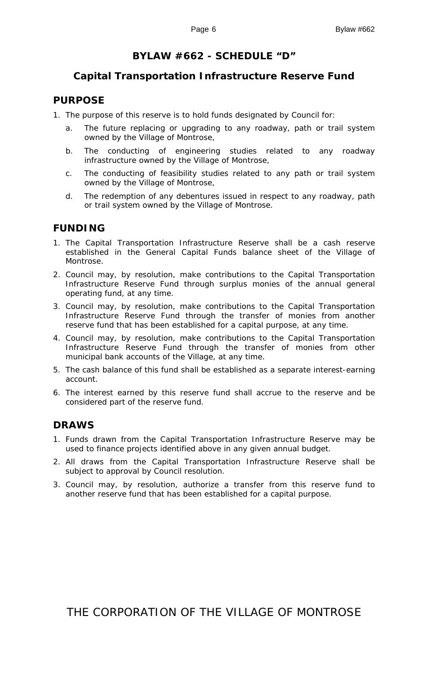## **BYLAW #662 - SCHEDULE "D"**

#### **Capital Transportation Infrastructure Reserve Fund**

#### **PURPOSE**

- 1. The purpose of this reserve is to hold funds designated by Council for:
	- a. The future replacing or upgrading to any roadway, path or trail system owned by the Village of Montrose,
	- b. The conducting of engineering studies related to any roadway infrastructure owned by the Village of Montrose,
	- c. The conducting of feasibility studies related to any path or trail system owned by the Village of Montrose,
	- d. The redemption of any debentures issued in respect to any roadway, path or trail system owned by the Village of Montrose.

## **FUNDING**

- 1. The Capital Transportation Infrastructure Reserve shall be a cash reserve established in the General Capital Funds balance sheet of the Village of Montrose.
- 2. Council may, by resolution, make contributions to the Capital Transportation Infrastructure Reserve Fund through surplus monies of the annual general operating fund, at any time.
- 3. Council may, by resolution, make contributions to the Capital Transportation Infrastructure Reserve Fund through the transfer of monies from another reserve fund that has been established for a capital purpose, at any time.
- 4. Council may, by resolution, make contributions to the Capital Transportation Infrastructure Reserve Fund through the transfer of monies from other municipal bank accounts of the Village, at any time.
- 5. The cash balance of this fund shall be established as a separate interest-earning account.
- 6. The interest earned by this reserve fund shall accrue to the reserve and be considered part of the reserve fund.

#### **DRAWS**

- 1. Funds drawn from the Capital Transportation Infrastructure Reserve may be used to finance projects identified above in any given annual budget.
- 2. All draws from the Capital Transportation Infrastructure Reserve shall be subject to approval by Council resolution.
- 3. Council may, by resolution, authorize a transfer from this reserve fund to another reserve fund that has been established for a capital purpose.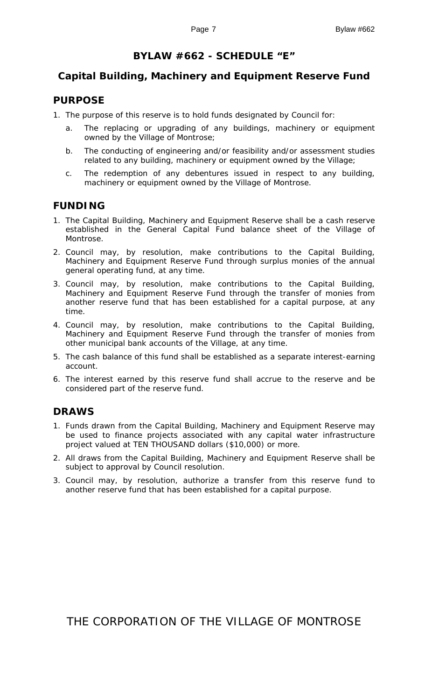# **BYLAW #662 - SCHEDULE "E"**

# **Capital Building, Machinery and Equipment Reserve Fund**

#### **PURPOSE**

- 1. The purpose of this reserve is to hold funds designated by Council for:
	- a. The replacing or upgrading of any buildings, machinery or equipment owned by the Village of Montrose;
	- b. The conducting of engineering and/or feasibility and/or assessment studies related to any building, machinery or equipment owned by the Village;
	- c. The redemption of any debentures issued in respect to any building, machinery or equipment owned by the Village of Montrose.

# **FUNDING**

- 1. The Capital Building, Machinery and Equipment Reserve shall be a cash reserve established in the General Capital Fund balance sheet of the Village of Montrose.
- 2. Council may, by resolution, make contributions to the Capital Building, Machinery and Equipment Reserve Fund through surplus monies of the annual general operating fund, at any time.
- 3. Council may, by resolution, make contributions to the Capital Building, Machinery and Equipment Reserve Fund through the transfer of monies from another reserve fund that has been established for a capital purpose, at any time.
- 4. Council may, by resolution, make contributions to the Capital Building, Machinery and Equipment Reserve Fund through the transfer of monies from other municipal bank accounts of the Village, at any time.
- 5. The cash balance of this fund shall be established as a separate interest-earning account.
- 6. The interest earned by this reserve fund shall accrue to the reserve and be considered part of the reserve fund.

# **DRAWS**

- 1. Funds drawn from the Capital Building, Machinery and Equipment Reserve may be used to finance projects associated with any capital water infrastructure project valued at TEN THOUSAND dollars (\$10,000) or more.
- 2. All draws from the Capital Building, Machinery and Equipment Reserve shall be subject to approval by Council resolution.
- 3. Council may, by resolution, authorize a transfer from this reserve fund to another reserve fund that has been established for a capital purpose.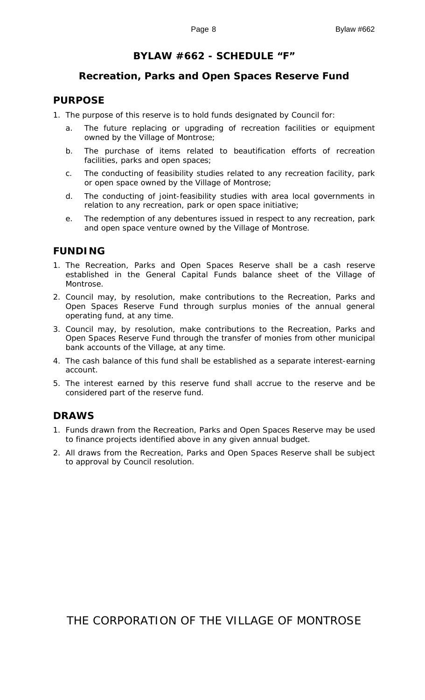#### **BYLAW #662 - SCHEDULE "F"**

#### **Recreation, Parks and Open Spaces Reserve Fund**

#### **PURPOSE**

- 1. The purpose of this reserve is to hold funds designated by Council for:
	- a. The future replacing or upgrading of recreation facilities or equipment owned by the Village of Montrose;
	- b. The purchase of items related to beautification efforts of recreation facilities, parks and open spaces;
	- c. The conducting of feasibility studies related to any recreation facility, park or open space owned by the Village of Montrose;
	- d. The conducting of joint-feasibility studies with area local governments in relation to any recreation, park or open space initiative;
	- e. The redemption of any debentures issued in respect to any recreation, park and open space venture owned by the Village of Montrose.

#### **FUNDING**

- 1. The Recreation, Parks and Open Spaces Reserve shall be a cash reserve established in the General Capital Funds balance sheet of the Village of Montrose.
- 2. Council may, by resolution, make contributions to the Recreation, Parks and Open Spaces Reserve Fund through surplus monies of the annual general operating fund, at any time.
- 3. Council may, by resolution, make contributions to the Recreation, Parks and Open Spaces Reserve Fund through the transfer of monies from other municipal bank accounts of the Village, at any time.
- 4. The cash balance of this fund shall be established as a separate interest-earning account.
- 5. The interest earned by this reserve fund shall accrue to the reserve and be considered part of the reserve fund.

#### **DRAWS**

- 1. Funds drawn from the Recreation, Parks and Open Spaces Reserve may be used to finance projects identified above in any given annual budget.
- 2. All draws from the Recreation, Parks and Open Spaces Reserve shall be subject to approval by Council resolution.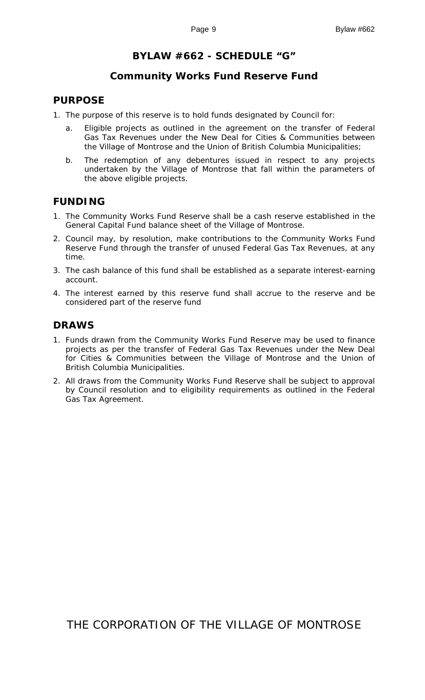# **BYLAW #662 - SCHEDULE "G"**

#### **Community Works Fund Reserve Fund**

#### **PURPOSE**

- 1. The purpose of this reserve is to hold funds designated by Council for:
	- a. Eligible projects as outlined in the agreement on the transfer of Federal Gas Tax Revenues under the New Deal for Cities & Communities between the Village of Montrose and the Union of British Columbia Municipalities;
	- b. The redemption of any debentures issued in respect to any projects undertaken by the Village of Montrose that fall within the parameters of the above eligible projects.

#### **FUNDING**

- 1. The Community Works Fund Reserve shall be a cash reserve established in the General Capital Fund balance sheet of the Village of Montrose.
- 2. Council may, by resolution, make contributions to the Community Works Fund Reserve Fund through the transfer of unused Federal Gas Tax Revenues, at any time.
- 3. The cash balance of this fund shall be established as a separate interest-earning account.
- 4. The interest earned by this reserve fund shall accrue to the reserve and be considered part of the reserve fund

#### **DRAWS**

- 1. Funds drawn from the Community Works Fund Reserve may be used to finance projects as per the transfer of Federal Gas Tax Revenues under the New Deal for Cities & Communities between the Village of Montrose and the Union of British Columbia Municipalities.
- 2. All draws from the Community Works Fund Reserve shall be subject to approval by Council resolution and to eligibility requirements as outlined in the Federal Gas Tax Agreement.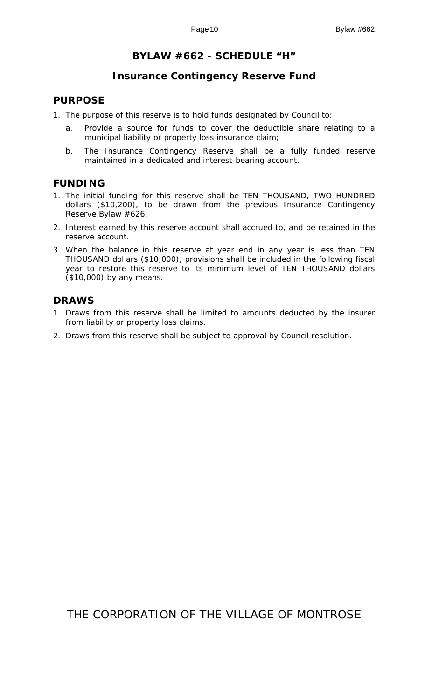# **BYLAW #662 - SCHEDULE "H"**

## **Insurance Contingency Reserve Fund**

#### **PURPOSE**

- 1. The purpose of this reserve is to hold funds designated by Council to:
	- a. Provide a source for funds to cover the deductible share relating to a municipal liability or property loss insurance claim;
	- b. The Insurance Contingency Reserve shall be a fully funded reserve maintained in a dedicated and interest-bearing account.

## **FUNDING**

- 1. The initial funding for this reserve shall be TEN THOUSAND, TWO HUNDRED dollars (\$10,200), to be drawn from the previous Insurance Contingency Reserve Bylaw #626.
- 2. Interest earned by this reserve account shall accrued to, and be retained in the reserve account.
- 3. When the balance in this reserve at year end in any year is less than TEN THOUSAND dollars (\$10,000), provisions shall be included in the following fiscal year to restore this reserve to its minimum level of TEN THOUSAND dollars (\$10,000) by any means.

## **DRAWS**

- 1. Draws from this reserve shall be limited to amounts deducted by the insurer from liability or property loss claims.
- 2. Draws from this reserve shall be subject to approval by Council resolution.